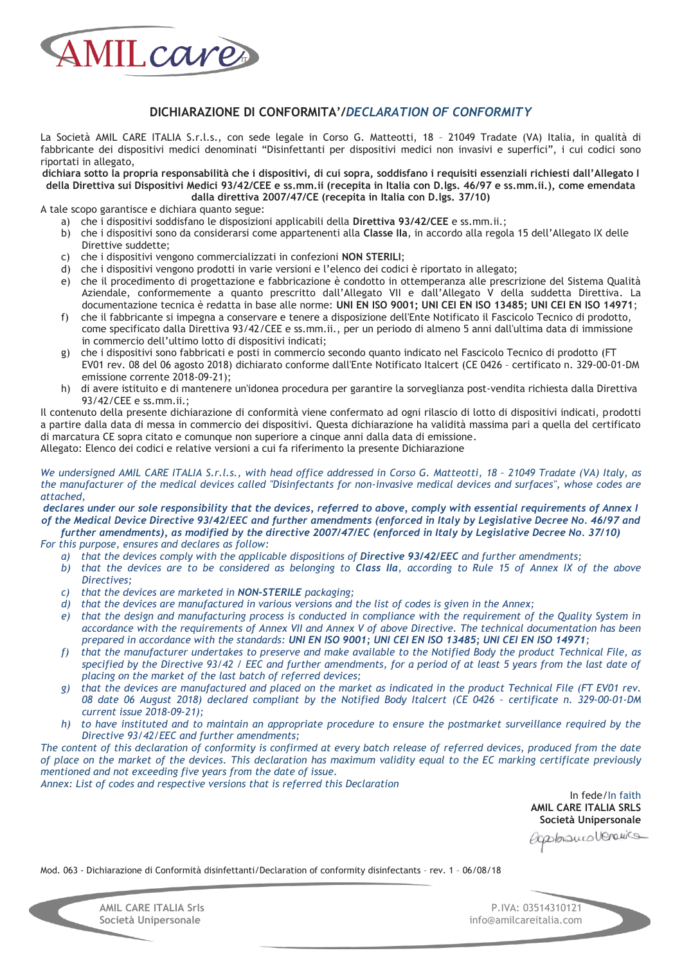

## **DICHIARAZIONE DI CONFORMITA'/***DECLARATION OF CONFORMITY*

La Società AMIL CARE ITALIA S.r.l.s., con sede legale in Corso G. Matteotti, 18 – 21049 Tradate (VA) Italia, in qualità di fabbricante dei dispositivi medici denominati "Disinfettanti per dispositivi medici non invasivi e superfici", i cui codici sono riportati in allegato,

**dichiara sotto la propria responsabilità che i dispositivi, di cui sopra, soddisfano i requisiti essenziali richiesti dall'Allegato I della Direttiva sui Dispositivi Medici 93/42/CEE e ss.mm.ii (recepita in Italia con D.lgs. 46/97 e ss.mm.ii.), come emendata dalla direttiva 2007/47/CE (recepita in Italia con D.lgs. 37/10)** 

A tale scopo garantisce e dichiara quanto segue:

- a) che i dispositivi soddisfano le disposizioni applicabili della **Direttiva 93/42/CEE** e ss.mm.ii.;
- b) che i dispositivi sono da considerarsi come appartenenti alla **Classe IIa**, in accordo alla regola 15 dell'Allegato IX delle
- Direttive suddette;
- c) che i dispositivi vengono commercializzati in confezioni **NON STERILI**;
- d) che i dispositivi vengono prodotti in varie versioni e l'elenco dei codici è riportato in allegato;
- e) che il procedimento di progettazione e fabbricazione è condotto in ottemperanza alle prescrizione del Sistema Qualità Aziendale, conformemente a quanto prescritto dall'Allegato VII e dall'Allegato V della suddetta Direttiva. La documentazione tecnica è redatta in base alle norme: **UNI EN ISO 9001; UNI CEI EN ISO 13485; UNI CEI EN ISO 14971**;
- f) che il fabbricante si impegna a conservare e tenere a disposizione dell'Ente Notificato il Fascicolo Tecnico di prodotto, come specificato dalla Direttiva 93/42/CEE e ss.mm.ii., per un periodo di almeno 5 anni dall'ultima data di immissione in commercio dell'ultimo lotto di dispositivi indicati;
- g) che i dispositivi sono fabbricati e posti in commercio secondo quanto indicato nel Fascicolo Tecnico di prodotto (FT EV01 rev. 08 del 06 agosto 2018) dichiarato conforme dall'Ente Notificato Italcert (CE 0426 – certificato n. 329-00-01-DM emissione corrente 2018-09-21);
- h) di avere istituito e di mantenere un'idonea procedura per garantire la sorveglianza post-vendita richiesta dalla Direttiva 93/42/CEE e ss.mm.ii.;

Il contenuto della presente dichiarazione di conformità viene confermato ad ogni rilascio di lotto di dispositivi indicati, prodotti a partire dalla data di messa in commercio dei dispositivi. Questa dichiarazione ha validità massima pari a quella del certificato di marcatura CE sopra citato e comunque non superiore a cinque anni dalla data di emissione.

Allegato: Elenco dei codici e relative versioni a cui fa riferimento la presente Dichiarazione

*We undersigned AMIL CARE ITALIA S.r.l.s., with head office addressed in Corso G. Matteotti, 18 - 21049 Tradate (VA) Italy, as the manufacturer of the medical devices called "Disinfectants for non-invasive medical devices and surfaces", whose codes are attached,* 

*declares under our sole responsibility that the devices, referred to above, comply with essential requirements of Annex I of the Medical Device Directive 93/42/EEC and further amendments (enforced in Italy by Legislative Decree No. 46/97 and*  further amendments), as modified by the directive 2007/47/EC (enforced in Italy by Legislative Decree No. 37/10)

*For this purpose, ensures and declares as follow:* 

- a) *that the devices comply with the applicable dispositions of Directive 93/42/EEC and further amendments;*
- *b) that the devices are to be considered as belonging to Class IIa, according to Rule 15 of Annex IX of the above Directives;*
- *c) that the devices are marketed in NON-STERILE packaging;*
- *d) that the devices are manufactured in various versions and the list of codes is given in the Annex;*
- *e) that the design and manufacturing process is conducted in compliance with the requirement of the Quality System in accordance with the requirements of Annex VII and Annex V of above Directive. The technical documentation has been prepared in accordance with the standards: UNI EN ISO 9001; UNI CEI EN ISO 13485; UNI CEI EN ISO 14971;*
- *f) that the manufacturer undertakes to preserve and make available to the Notified Body the product Technical File, as specified by the Directive 93/42 / EEC and further amendments, for a period of at least 5 years from the last date of placing on the market of the last batch of referred devices;*
- *g) that the devices are manufactured and placed on the market as indicated in the product Technical File (FT EV01 rev.*  08 date 06 August 2018) declared compliant by the Notified Body Italcert (CE 0426 - certificate n. 329-00-01-DM *current issue 2018-09-21);*
- *h) to have instituted and to maintain an appropriate procedure to ensure the postmarket surveillance required by the Directive 93/42/EEC and further amendments;*

*The content of this declaration of conformity is confirmed at every batch release of referred devices, produced from the date of place on the market of the devices. This declaration has maximum validity equal to the EC marking certificate previously mentioned and not exceeding five years from the date of issue.* 

*Annex: List of codes and respective versions that is referred this Declaration* 

In fede/In faith **AMIL CARE ITALIA SRLS Società Unipersonale** 

experimentalements

Mod. 063 - Dichiarazione di Conformità disinfettanti/Declaration of conformity disinfectants – rev. 1 – 06/08/18